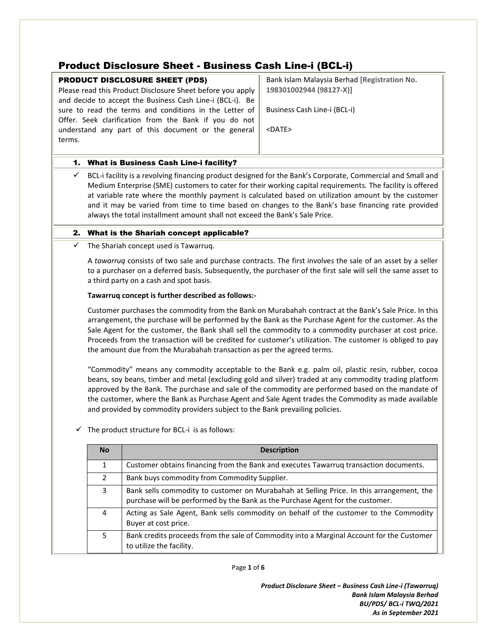## Product Disclosure Sheet - Business Cash Line-i (BCL-i)

|        |                                                                                                             | Product Disclosure Sheet - Business Cash Line-i (BCL-i)<br><b>PRODUCT DISCLOSURE SHEET (PDS)</b>              | Bank Islam Malaysia Berhad [Registration No.                                                                |  |  |  |  |  |
|--------|-------------------------------------------------------------------------------------------------------------|---------------------------------------------------------------------------------------------------------------|-------------------------------------------------------------------------------------------------------------|--|--|--|--|--|
|        |                                                                                                             | Please read this Product Disclosure Sheet before you apply                                                    | 198301002944 (98127-X)]                                                                                     |  |  |  |  |  |
|        |                                                                                                             | and decide to accept the Business Cash Line-i (BCL-i). Be                                                     |                                                                                                             |  |  |  |  |  |
|        |                                                                                                             | sure to read the terms and conditions in the Letter of                                                        | Business Cash Line-i (BCL-i)                                                                                |  |  |  |  |  |
|        |                                                                                                             | Offer. Seek clarification from the Bank if you do not                                                         |                                                                                                             |  |  |  |  |  |
|        |                                                                                                             | understand any part of this document or the general                                                           | <date></date>                                                                                               |  |  |  |  |  |
| terms. |                                                                                                             |                                                                                                               |                                                                                                             |  |  |  |  |  |
|        |                                                                                                             |                                                                                                               |                                                                                                             |  |  |  |  |  |
|        | 1. What is Business Cash Line-i facility?                                                                   |                                                                                                               |                                                                                                             |  |  |  |  |  |
| ✓      | BCL-i facility is a revolving financing product designed for the Bank's Corporate, Commercial and Small and |                                                                                                               |                                                                                                             |  |  |  |  |  |
|        |                                                                                                             |                                                                                                               | Medium Enterprise (SME) customers to cater for their working capital requirements. The facility is offered  |  |  |  |  |  |
|        |                                                                                                             |                                                                                                               | at variable rate where the monthly payment is calculated based on utilization amount by the customer        |  |  |  |  |  |
|        |                                                                                                             |                                                                                                               | and it may be varied from time to time based on changes to the Bank's base financing rate provided          |  |  |  |  |  |
|        |                                                                                                             | always the total installment amount shall not exceed the Bank's Sale Price.                                   |                                                                                                             |  |  |  |  |  |
|        |                                                                                                             | 2. What is the Shariah concept applicable?                                                                    |                                                                                                             |  |  |  |  |  |
| ✓      | The Shariah concept used is Tawarruq.                                                                       |                                                                                                               |                                                                                                             |  |  |  |  |  |
|        |                                                                                                             |                                                                                                               | A tawarruq consists of two sale and purchase contracts. The first involves the sale of an asset by a seller |  |  |  |  |  |
|        |                                                                                                             | to a purchaser on a deferred basis. Subsequently, the purchaser of the first sale will sell the same asset to |                                                                                                             |  |  |  |  |  |
|        | a third party on a cash and spot basis.                                                                     |                                                                                                               |                                                                                                             |  |  |  |  |  |
|        | Tawarruq concept is further described as follows:-                                                          |                                                                                                               |                                                                                                             |  |  |  |  |  |
|        | Customer purchases the commodity from the Bank on Murabahah contract at the Bank's Sale Price. In this      |                                                                                                               |                                                                                                             |  |  |  |  |  |
|        | arrangement, the purchase will be performed by the Bank as the Purchase Agent for the customer. As the      |                                                                                                               |                                                                                                             |  |  |  |  |  |
|        |                                                                                                             | Sale Agent for the customer, the Bank shall sell the commodity to a commodity purchaser at cost price.        |                                                                                                             |  |  |  |  |  |
|        |                                                                                                             |                                                                                                               | Proceeds from the transaction will be credited for customer's utilization. The customer is obliged to pay   |  |  |  |  |  |
|        |                                                                                                             | the amount due from the Murabahah transaction as per the agreed terms.                                        |                                                                                                             |  |  |  |  |  |
|        | "Commodity" means any commodity acceptable to the Bank e.g. palm oil, plastic resin, rubber, cocoa          |                                                                                                               |                                                                                                             |  |  |  |  |  |
|        | beans, soy beans, timber and metal (excluding gold and silver) traded at any commodity trading platform     |                                                                                                               |                                                                                                             |  |  |  |  |  |
|        | approved by the Bank. The purchase and sale of the commodity are performed based on the mandate of          |                                                                                                               |                                                                                                             |  |  |  |  |  |
|        | the customer, where the Bank as Purchase Agent and Sale Agent trades the Commodity as made available        |                                                                                                               |                                                                                                             |  |  |  |  |  |
|        | and provided by commodity providers subject to the Bank prevailing policies.                                |                                                                                                               |                                                                                                             |  |  |  |  |  |
|        |                                                                                                             | The product structure for BCL-i is as follows:                                                                |                                                                                                             |  |  |  |  |  |
|        | No                                                                                                          | <b>Description</b>                                                                                            |                                                                                                             |  |  |  |  |  |
|        | $\mathbf{1}$                                                                                                |                                                                                                               | Customer obtains financing from the Bank and executes Tawarruq transaction documents.                       |  |  |  |  |  |
|        | 2                                                                                                           | Bank buys commodity from Commodity Supplier.                                                                  |                                                                                                             |  |  |  |  |  |
|        | 3                                                                                                           |                                                                                                               | Bank sells commodity to customer on Murabahah at Selling Price. In this arrangement, the                    |  |  |  |  |  |
|        |                                                                                                             | purchase will be performed by the Bank as the Purchase Agent for the customer.                                |                                                                                                             |  |  |  |  |  |
|        | 4                                                                                                           |                                                                                                               | Acting as Sale Agent, Bank sells commodity on behalf of the customer to the Commodity                       |  |  |  |  |  |
|        |                                                                                                             |                                                                                                               |                                                                                                             |  |  |  |  |  |
|        |                                                                                                             | Buyer at cost price.                                                                                          |                                                                                                             |  |  |  |  |  |

to utilize the facility.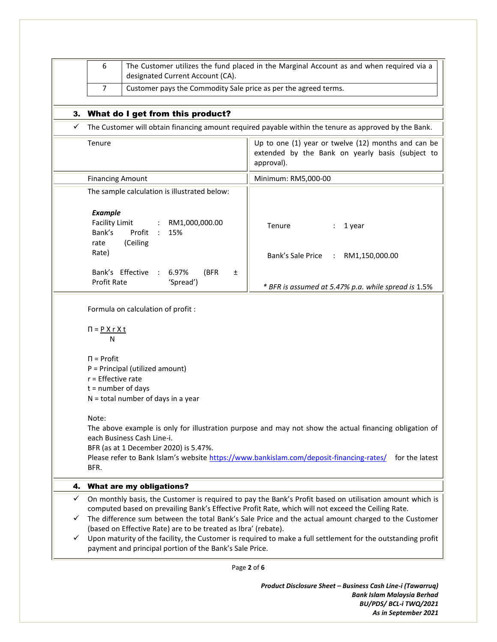|        | 6<br>The Customer utilizes the fund placed in the Marginal Account as and when required via a<br>designated Current Account (CA).<br>Customer pays the Commodity Sale price as per the agreed terms.<br>$\overline{7}$                                                                                                                                                                                                                                                                                                                                                              |                                                                          |                                                                                                                       |  |  |  |
|--------|-------------------------------------------------------------------------------------------------------------------------------------------------------------------------------------------------------------------------------------------------------------------------------------------------------------------------------------------------------------------------------------------------------------------------------------------------------------------------------------------------------------------------------------------------------------------------------------|--------------------------------------------------------------------------|-----------------------------------------------------------------------------------------------------------------------|--|--|--|
|        |                                                                                                                                                                                                                                                                                                                                                                                                                                                                                                                                                                                     |                                                                          |                                                                                                                       |  |  |  |
|        | 3. What do I get from this product?                                                                                                                                                                                                                                                                                                                                                                                                                                                                                                                                                 |                                                                          |                                                                                                                       |  |  |  |
| ✓      | The Customer will obtain financing amount required payable within the tenure as approved by the Bank.                                                                                                                                                                                                                                                                                                                                                                                                                                                                               |                                                                          |                                                                                                                       |  |  |  |
|        | Tenure                                                                                                                                                                                                                                                                                                                                                                                                                                                                                                                                                                              |                                                                          | Up to one (1) year or twelve (12) months and can be<br>extended by the Bank on yearly basis (subject to<br>approval). |  |  |  |
|        | <b>Financing Amount</b>                                                                                                                                                                                                                                                                                                                                                                                                                                                                                                                                                             |                                                                          | Minimum: RM5,000-00                                                                                                   |  |  |  |
|        |                                                                                                                                                                                                                                                                                                                                                                                                                                                                                                                                                                                     | The sample calculation is illustrated below:                             |                                                                                                                       |  |  |  |
|        | <b>Example</b><br><b>Facility Limit</b><br>Bank's<br>rate<br>Rate)                                                                                                                                                                                                                                                                                                                                                                                                                                                                                                                  | RM1,000,000.00<br>$\ddot{\cdot}$<br>Profit<br>15%<br>$\cdot$<br>(Ceiling | Tenure<br>1 year<br>Bank's Sale Price :<br>RM1,150,000.00                                                             |  |  |  |
|        | Profit Rate                                                                                                                                                                                                                                                                                                                                                                                                                                                                                                                                                                         | Bank's Effective<br>6.97%<br>$\therefore$<br>(BFR<br>±<br>'Spread')      | * BFR is assumed at 5.47% p.a. while spread is 1.5%                                                                   |  |  |  |
|        | Formula on calculation of profit :                                                                                                                                                                                                                                                                                                                                                                                                                                                                                                                                                  |                                                                          |                                                                                                                       |  |  |  |
|        | $\Pi = P X r X t$<br>N                                                                                                                                                                                                                                                                                                                                                                                                                                                                                                                                                              |                                                                          |                                                                                                                       |  |  |  |
|        | $\Pi$ = Profit<br>P = Principal (utilized amount)<br>$r =$ Effective rate<br>$t =$ number of days<br>N = total number of days in a year<br>Note:<br>The above example is only for illustration purpose and may not show the actual financing obligation of<br>each Business Cash Line-i.<br>BFR (as at 1 December 2020) is 5.47%.<br>Please refer to Bank Islam's website https://www.bankislam.com/deposit-financing-rates/ for the latest<br>BFR.                                                                                                                                 |                                                                          |                                                                                                                       |  |  |  |
|        |                                                                                                                                                                                                                                                                                                                                                                                                                                                                                                                                                                                     |                                                                          |                                                                                                                       |  |  |  |
| 4.     |                                                                                                                                                                                                                                                                                                                                                                                                                                                                                                                                                                                     | <b>What are my obligations?</b>                                          |                                                                                                                       |  |  |  |
| ✓<br>✓ | On monthly basis, the Customer is required to pay the Bank's Profit based on utilisation amount which is<br>computed based on prevailing Bank's Effective Profit Rate, which will not exceed the Ceiling Rate.<br>The difference sum between the total Bank's Sale Price and the actual amount charged to the Customer<br>(based on Effective Rate) are to be treated as Ibra' (rebate).<br>Upon maturity of the facility, the Customer is required to make a full settlement for the outstanding profit<br>$\checkmark$<br>payment and principal portion of the Bank's Sale Price. |                                                                          |                                                                                                                       |  |  |  |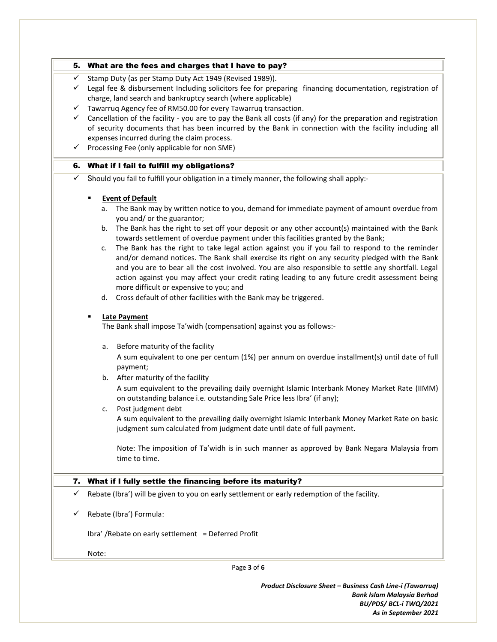|              | 5. What are the fees and charges that I have to pay?                                                                                                                                   |  |  |  |
|--------------|----------------------------------------------------------------------------------------------------------------------------------------------------------------------------------------|--|--|--|
| ✓            | Stamp Duty (as per Stamp Duty Act 1949 (Revised 1989)).                                                                                                                                |  |  |  |
| ✓            | Legal fee & disbursement Including solicitors fee for preparing financing documentation, registration of                                                                               |  |  |  |
|              | charge, land search and bankruptcy search (where applicable)                                                                                                                           |  |  |  |
| ✓            | Tawarruq Agency fee of RM50.00 for every Tawarruq transaction.                                                                                                                         |  |  |  |
| $\checkmark$ | Cancellation of the facility - you are to pay the Bank all costs (if any) for the preparation and registration                                                                         |  |  |  |
|              | of security documents that has been incurred by the Bank in connection with the facility including all                                                                                 |  |  |  |
|              | expenses incurred during the claim process.                                                                                                                                            |  |  |  |
| ✓            | Processing Fee (only applicable for non SME)                                                                                                                                           |  |  |  |
|              | 6. What if I fail to fulfill my obligations?                                                                                                                                           |  |  |  |
| ✓            | Should you fail to fulfill your obligation in a timely manner, the following shall apply:-                                                                                             |  |  |  |
|              | <b>Event of Default</b>                                                                                                                                                                |  |  |  |
|              | The Bank may by written notice to you, demand for immediate payment of amount overdue from<br>a.<br>you and/ or the guarantor;                                                         |  |  |  |
|              | b. The Bank has the right to set off your deposit or any other account(s) maintained with the Bank<br>towards settlement of overdue payment under this facilities granted by the Bank; |  |  |  |
|              | The Bank has the right to take legal action against you if you fail to respond to the reminder<br>c.                                                                                   |  |  |  |
|              | and/or demand notices. The Bank shall exercise its right on any security pledged with the Bank                                                                                         |  |  |  |
|              | and you are to bear all the cost involved. You are also responsible to settle any shortfall. Legal                                                                                     |  |  |  |
|              | action against you may affect your credit rating leading to any future credit assessment being                                                                                         |  |  |  |
|              | more difficult or expensive to you; and                                                                                                                                                |  |  |  |
|              | d. Cross default of other facilities with the Bank may be triggered.                                                                                                                   |  |  |  |
|              | <b>Late Payment</b><br>٠                                                                                                                                                               |  |  |  |
|              | The Bank shall impose Ta'widh (compensation) against you as follows:-                                                                                                                  |  |  |  |
|              | Before maturity of the facility<br>a.                                                                                                                                                  |  |  |  |
|              | A sum equivalent to one per centum (1%) per annum on overdue installment(s) until date of full                                                                                         |  |  |  |
|              | payment;                                                                                                                                                                               |  |  |  |
|              | b. After maturity of the facility                                                                                                                                                      |  |  |  |
|              | A sum equivalent to the prevailing daily overnight Islamic Interbank Money Market Rate (IIMM)<br>on outstanding balance i.e. outstanding Sale Price less Ibra' (if any);               |  |  |  |
|              | Post judgment debt<br>c.                                                                                                                                                               |  |  |  |
|              | A sum equivalent to the prevailing daily overnight Islamic Interbank Money Market Rate on basic<br>judgment sum calculated from judgment date until date of full payment.              |  |  |  |
|              | Note: The imposition of Ta'widh is in such manner as approved by Bank Negara Malaysia from                                                                                             |  |  |  |
|              | time to time.                                                                                                                                                                          |  |  |  |
|              | 7. What if I fully settle the financing before its maturity?                                                                                                                           |  |  |  |
| ✓            | Rebate (Ibra') will be given to you on early settlement or early redemption of the facility.                                                                                           |  |  |  |
| v            | Rebate (Ibra') Formula:                                                                                                                                                                |  |  |  |
|              | Ibra' / Rebate on early settlement = Deferred Profit                                                                                                                                   |  |  |  |
|              |                                                                                                                                                                                        |  |  |  |
|              | Note:                                                                                                                                                                                  |  |  |  |

Page **3** of **6**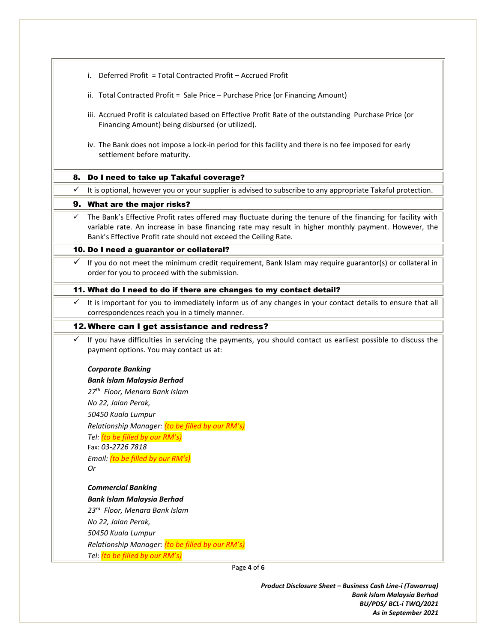- i. Deferred Profit = Total Contracted Profit Accrued Profit
- ii. Total Contracted Profit = Sale Price Purchase Price (or Financing Amount)
- iii. Accrued Profit is calculated based on Effective Profit Rate of the outstanding Purchase Price (or Financing Amount) being disbursed (or utilized).
- iv. The Bank does not impose a lock-in period for this facility and there is no fee imposed for early settlement before maturity.

#### 8. Do I need to take up Takaful coverage?

 $\checkmark$  It is optional, however you or your supplier is advised to subscribe to any appropriate Takaful protection.

#### 9. What are the major risks?

 $\checkmark$  The Bank's Effective Profit rates offered may fluctuate during the tenure of the financing for facility with variable rate. An increase in base financing rate may result in higher monthly payment. However, the Bank's Effective Profit rate should not exceed the Ceiling Rate.

#### 10. Do I need a guarantor or collateral?

 If you do not meet the minimum credit requirement, Bank Islam may require guarantor(s) or collateral in order for you to proceed with the submission.

#### 11. What do I need to do if there are changes to my contact detail?

 $\checkmark$  It is important for you to immediately inform us of any changes in your contact details to ensure that all correspondences reach you in a timely manner.

#### 12.Where can I get assistance and redress?

 If you have difficulties in servicing the payments, you should contact us earliest possible to discuss the payment options. You may contact us at:

#### *Corporate Banking*

*Bank Islam Malaysia Berhad 27 th Floor, Menara Bank Islam No 22, Jalan Perak, 50450 Kuala Lumpur Relationship Manager: (to be filled by our RM's) Tel: (to be filled by our RM's)* Fax: *03-2726 7818 Email: (to be filled by our RM's) Or*

## *Commercial Banking*

*Bank Islam Malaysia Berhad*

*23rd Floor, Menara Bank Islam No 22, Jalan Perak,*

*50450 Kuala Lumpur*

*Relationship Manager: (to be filled by our RM's)*

*Tel: (to be filled by our RM's)*

Page **4** of **6**

*Product Disclosure Sheet – Business Cash Line-i (Tawarruq) Bank Islam Malaysia Berhad BU/PDS/ BCL-i TWQ/2021 As in September 2021*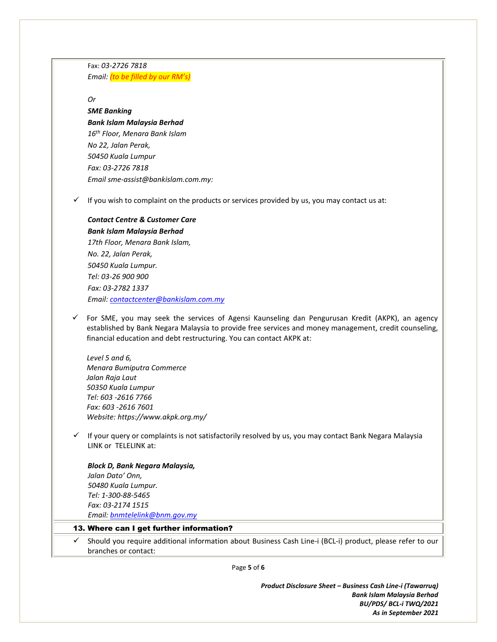Fax: *03-2726 7818 Email: (to be filled by our RM's)*

*Or* 

# *SME Banking*

*Bank Islam Malaysia Berhad 16th Floor, Menara Bank Islam No 22, Jalan Perak, 50450 Kuala Lumpur Fax: 03-2726 7818 Email sme-assist@bankislam.com.my:* 

 $\checkmark$  If you wish to complaint on the products or services provided by us, you may contact us at:

## *Contact Centre & Customer Care Bank Islam Malaysia Berhad*

*17th Floor, Menara Bank Islam, No. 22, Jalan Perak, 50450 Kuala Lumpur. Tel: 03-26 900 900 Fax: 03-2782 1337 Email[: contactcenter@bankislam.com.my](mailto:contactcenter@bankislam.com.my)*

 $\checkmark$  For SME, you may seek the services of Agensi Kaunseling dan Pengurusan Kredit (AKPK), an agency established by Bank Negara Malaysia to provide free services and money management, credit counseling, financial education and debt restructuring. You can contact AKPK at:

*Level 5 and 6, Menara Bumiputra Commerce Jalan Raja Laut 50350 Kuala Lumpur Tel: 603 -2616 7766 Fax: 603 -2616 7601 Website: https://www.akpk.org.my/*

 $\checkmark$  If your query or complaints is not satisfactorily resolved by us, you may contact Bank Negara Malaysia LINK or TELELINK at:

## *Block D, Bank Negara Malaysia,*

 *Jalan Dato' Onn, 50480 Kuala Lumpur. Tel: 1-300-88-5465 Fax: 03-2174 1515 Email[: bnmtelelink@bnm.gov.my](mailto:bnmtelelink@bnm.gov.my)*

#### 13. Where can I get further information?

 $\checkmark$  Should you require additional information about Business Cash Line-i (BCL-i) product, please refer to our branches or contact:

Page **5** of **6**

*Product Disclosure Sheet – Business Cash Line-i (Tawarruq) Bank Islam Malaysia Berhad BU/PDS/ BCL-i TWQ/2021 As in September 2021*